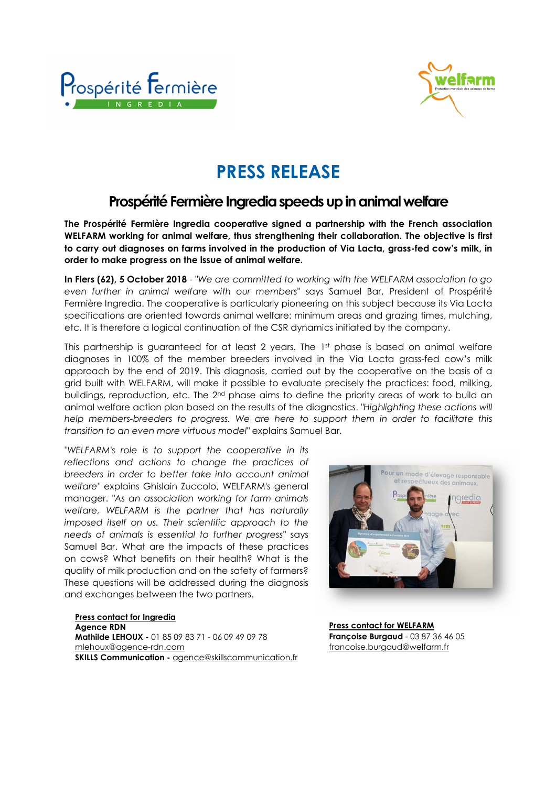



## **PRESS RELEASE**

## **Prospérité Fermière Ingredia speeds up in animal welfare**

**The Prospérité Fermière Ingredia cooperative signed a partnership with the French association WELFARM working for animal welfare, thus strengthening their collaboration. The objective is first to carry out diagnoses on farms involved in the production of Via Lacta, grass-fed cow's milk, in order to make progress on the issue of animal welfare.** 

**In Flers (62), 5 October 2018** - *"We are committed to working with the WELFARM association to go even further in animal welfare with our members"* says Samuel Bar, President of Prospérité Fermière Ingredia. The cooperative is particularly pioneering on this subject because its Via Lacta specifications are oriented towards animal welfare: minimum areas and grazing times, mulching, etc. It is therefore a logical continuation of the CSR dynamics initiated by the company.

This partnership is guaranteed for at least 2 years. The 1st phase is based on animal welfare diagnoses in 100% of the member breeders involved in the Via Lacta grass-fed cow's milk approach by the end of 2019. This diagnosis, carried out by the cooperative on the basis of a grid built with WELFARM, will make it possible to evaluate precisely the practices: food, milking, buildings, reproduction, etc. The 2<sup>nd</sup> phase aims to define the priority areas of work to build an animal welfare action plan based on the results of the diagnostics. *"Highlighting these actions will*  help members-breeders to progress. We are here to support them in order to facilitate this *transition to an even more virtuous model"* explains Samuel Bar.

*"WELFARM's role is to support the cooperative in its reflections and actions to change the practices of breeders in order to better take into account animal welfare"* explains Ghislain Zuccolo, WELFARM's general manager. *"As an association working for farm animals welfare, WELFARM is the partner that has naturally imposed itself on us. Their scientific approach to the needs of animals is essential to further progress"* says Samuel Bar. What are the impacts of these practices on cows? What benefits on their health? What is the quality of milk production and on the safety of farmers? These questions will be addressed during the diagnosis and exchanges between the two partners.

**Press contact for Ingredia Agence RDN Mathilde LEHOUX -** 01 85 09 83 71 - 06 09 49 09 78 mlehoux@agence-rdn.com **SKILLS Communication -** agence@skillscommunication.fr



**Press contact for WELFARM Françoise Burgaud** - 03 87 36 46 05 francoise.burgaud@welfarm.fr